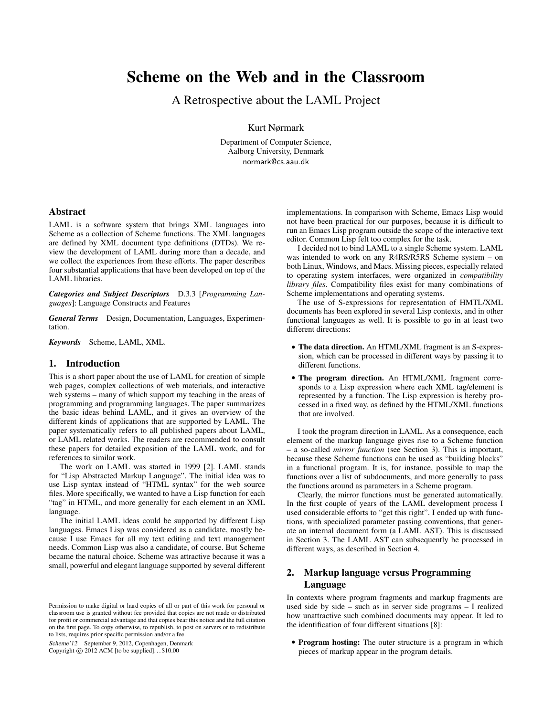# Scheme on the Web and in the Classroom

A Retrospective about the LAML Project

Kurt Nørmark

Department of Computer Science, Aalborg University, Denmark normark@cs.aau.dk

## Abstract

LAML is a software system that brings XML languages into Scheme as a collection of Scheme functions. The XML languages are defined by XML document type definitions (DTDs). We review the development of LAML during more than a decade, and we collect the experiences from these efforts. The paper describes four substantial applications that have been developed on top of the LAML libraries.

*Categories and Subject Descriptors* D.3.3 [*Programming Languages*]: Language Constructs and Features

*General Terms* Design, Documentation, Languages, Experimentation.

*Keywords* Scheme, LAML, XML.

## 1. Introduction

This is a short paper about the use of LAML for creation of simple web pages, complex collections of web materials, and interactive web systems – many of which support my teaching in the areas of programming and programming languages. The paper summarizes the basic ideas behind LAML, and it gives an overview of the different kinds of applications that are supported by LAML. The paper systematically refers to all published papers about LAML, or LAML related works. The readers are recommended to consult these papers for detailed exposition of the LAML work, and for references to similar work.

The work on LAML was started in 1999 [2]. LAML stands for "Lisp Abstracted Markup Language". The initial idea was to use Lisp syntax instead of "HTML syntax" for the web source files. More specifically, we wanted to have a Lisp function for each "tag" in HTML, and more generally for each element in an XML language.

The initial LAML ideas could be supported by different Lisp languages. Emacs Lisp was considered as a candidate, mostly because I use Emacs for all my text editing and text management needs. Common Lisp was also a candidate, of course. But Scheme became the natural choice. Scheme was attractive because it was a small, powerful and elegant language supported by several different

Scheme'12 September 9, 2012, Copenhagen, Denmark Copyright  $\odot$  2012 ACM [to be supplied]...\$10.00

implementations. In comparison with Scheme, Emacs Lisp would not have been practical for our purposes, because it is difficult to run an Emacs Lisp program outside the scope of the interactive text editor. Common Lisp felt too complex for the task.

I decided not to bind LAML to a single Scheme system. LAML was intended to work on any R4RS/R5RS Scheme system – on both Linux, Windows, and Macs. Missing pieces, especially related to operating system interfaces, were organized in *compatibility library files*. Compatibility files exist for many combinations of Scheme implementations and operating systems.

The use of S-expressions for representation of HMTL/XML documents has been explored in several Lisp contexts, and in other functional languages as well. It is possible to go in at least two different directions:

- The data direction. An HTML/XML fragment is an S-expression, which can be processed in different ways by passing it to different functions.
- The program direction. An HTML/XML fragment corresponds to a Lisp expression where each XML tag/element is represented by a function. The Lisp expression is hereby processed in a fixed way, as defined by the HTML/XML functions that are involved.

I took the program direction in LAML. As a consequence, each element of the markup language gives rise to a Scheme function – a so-called *mirror function* (see Section 3). This is important, because these Scheme functions can be used as "building blocks" in a functional program. It is, for instance, possible to map the functions over a list of subdocuments, and more generally to pass the functions around as parameters in a Scheme program.

Clearly, the mirror functions must be generated automatically. In the first couple of years of the LAML development process I used considerable efforts to "get this right". I ended up with functions, with specialized parameter passing conventions, that generate an internal document form (a LAML AST). This is discussed in Section 3. The LAML AST can subsequently be processed in different ways, as described in Section 4.

# 2. Markup language versus Programming Language

In contexts where program fragments and markup fragments are used side by side – such as in server side programs – I realized how unattractive such combined documents may appear. It led to the identification of four different situations [8]:

• Program hosting: The outer structure is a program in which pieces of markup appear in the program details.

Permission to make digital or hard copies of all or part of this work for personal or classroom use is granted without fee provided that copies are not made or distributed for profit or commercial advantage and that copies bear this notice and the full citation on the first page. To copy otherwise, to republish, to post on servers or to redistribute to lists, requires prior specific permission and/or a fee.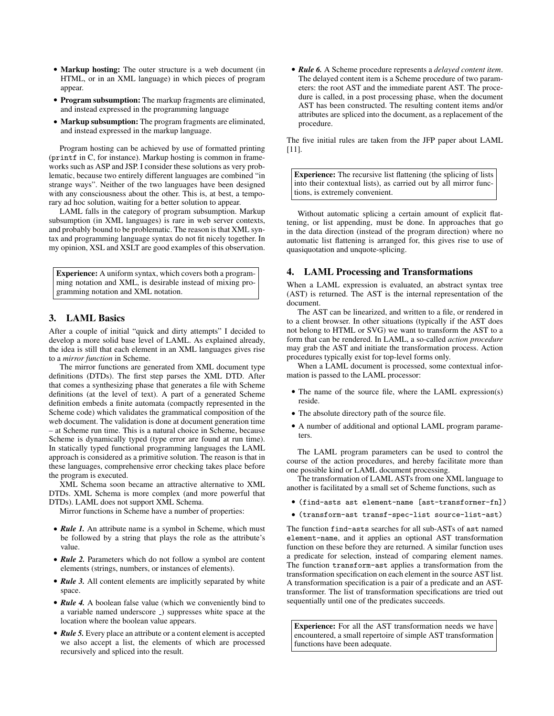- Markup hosting: The outer structure is a web document (in HTML, or in an XML language) in which pieces of program appear.
- Program subsumption: The markup fragments are eliminated, and instead expressed in the programming language
- Markup subsumption: The program fragments are eliminated, and instead expressed in the markup language.

Program hosting can be achieved by use of formatted printing (printf in C, for instance). Markup hosting is common in frameworks such as ASP and JSP. I consider these solutions as very problematic, because two entirely different languages are combined "in strange ways". Neither of the two languages have been designed with any consciousness about the other. This is, at best, a temporary ad hoc solution, waiting for a better solution to appear.

LAML falls in the category of program subsumption. Markup subsumption (in XML languages) is rare in web server contexts, and probably bound to be problematic. The reason is that XML syntax and programming language syntax do not fit nicely together. In my opinion, XSL and XSLT are good examples of this observation.

Experience: A uniform syntax, which covers both a programming notation and XML, is desirable instead of mixing programming notation and XML notation.

# 3. LAML Basics

After a couple of initial "quick and dirty attempts" I decided to develop a more solid base level of LAML. As explained already, the idea is still that each element in an XML languages gives rise to a *mirror function* in Scheme.

The mirror functions are generated from XML document type definitions (DTDs). The first step parses the XML DTD. After that comes a synthesizing phase that generates a file with Scheme definitions (at the level of text). A part of a generated Scheme definition embeds a finite automata (compactly represented in the Scheme code) which validates the grammatical composition of the web document. The validation is done at document generation time – at Scheme run time. This is a natural choice in Scheme, because Scheme is dynamically typed (type error are found at run time). In statically typed functional programming languages the LAML approach is considered as a primitive solution. The reason is that in these languages, comprehensive error checking takes place before the program is executed.

XML Schema soon became an attractive alternative to XML DTDs. XML Schema is more complex (and more powerful that DTDs). LAML does not support XML Schema.

Mirror functions in Scheme have a number of properties:

- *Rule 1*. An attribute name is a symbol in Scheme, which must be followed by a string that plays the role as the attribute's value.
- *Rule 2.* Parameters which do not follow a symbol are content elements (strings, numbers, or instances of elements).
- *Rule 3.* All content elements are implicitly separated by white space.
- **Rule 4.** A boolean false value (which we conveniently bind to a variable named underscore ) suppresses white space at the location where the boolean value appears.
- *Rule 5*. Every place an attribute or a content element is accepted we also accept a list, the elements of which are processed recursively and spliced into the result.

• *Rule 6.* A Scheme procedure represents a *delayed content item*. The delayed content item is a Scheme procedure of two parameters: the root AST and the immediate parent AST. The procedure is called, in a post processing phase, when the document AST has been constructed. The resulting content items and/or attributes are spliced into the document, as a replacement of the procedure.

The five initial rules are taken from the JFP paper about LAML [11].

Experience: The recursive list flattening (the splicing of lists into their contextual lists), as carried out by all mirror functions, is extremely convenient.

Without automatic splicing a certain amount of explicit flattening, or list appending, must be done. In approaches that go in the data direction (instead of the program direction) where no automatic list flattening is arranged for, this gives rise to use of quasiquotation and unquote-splicing.

## 4. LAML Processing and Transformations

When a LAML expression is evaluated, an abstract syntax tree (AST) is returned. The AST is the internal representation of the document.

The AST can be linearized, and written to a file, or rendered in to a client browser. In other situations (typically if the AST does not belong to HTML or SVG) we want to transform the AST to a form that can be rendered. In LAML, a so-called *action procedure* may grab the AST and initiate the transformation process. Action procedures typically exist for top-level forms only.

When a LAML document is processed, some contextual information is passed to the LAML processor:

- The name of the source file, where the LAML expression(s) reside.
- The absolute directory path of the source file.
- A number of additional and optional LAML program parameters.

The LAML program parameters can be used to control the course of the action procedures, and hereby facilitate more than one possible kind or LAML document processing.

The transformation of LAML ASTs from one XML language to another is facilitated by a small set of Scheme functions, such as

- (find-asts ast element-name [ast-transformer-fn])
- (transform-ast transf-spec-list source-list-ast)

The function find-asts searches for all sub-ASTs of ast named element-name, and it applies an optional AST transformation function on these before they are returned. A similar function uses a predicate for selection, instead of comparing element names. The function transform-ast applies a transformation from the transformation specification on each element in the source AST list. A transformation specification is a pair of a predicate and an ASTtransformer. The list of transformation specifications are tried out sequentially until one of the predicates succeeds.

Experience: For all the AST transformation needs we have encountered, a small repertoire of simple AST transformation functions have been adequate.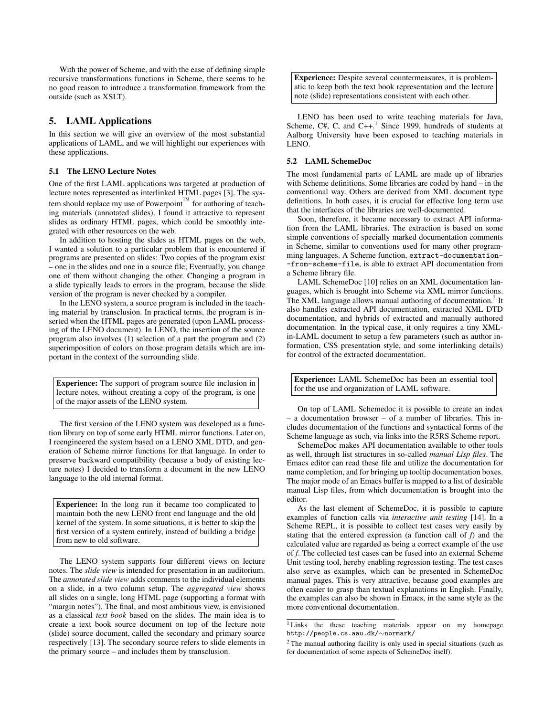With the power of Scheme, and with the ease of defining simple recursive transformations functions in Scheme, there seems to be no good reason to introduce a transformation framework from the outside (such as XSLT).

## 5. LAML Applications

In this section we will give an overview of the most substantial applications of LAML, and we will highlight our experiences with these applications.

#### 5.1 The LENO Lecture Notes

One of the first LAML applications was targeted at production of lecture notes represented as interlinked HTML pages [3]. The system should replace my use of Powerpoint<sup> $TM$ </sup> for authoring of teaching materials (annotated slides). I found it attractive to represent slides as ordinary HTML pages, which could be smoothly integrated with other resources on the web.

In addition to hosting the slides as HTML pages on the web, I wanted a solution to a particular problem that is encountered if programs are presented on slides: Two copies of the program exist – one in the slides and one in a source file; Eventually, you change one of them without changing the other. Changing a program in a slide typically leads to errors in the program, because the slide version of the program is never checked by a compiler.

In the LENO system, a source program is included in the teaching material by transclusion. In practical terms, the program is inserted when the HTML pages are generated (upon LAML processing of the LENO document). In LENO, the insertion of the source program also involves (1) selection of a part the program and (2) superimposition of colors on those program details which are important in the context of the surrounding slide.

Experience: The support of program source file inclusion in lecture notes, without creating a copy of the program, is one of the major assets of the LENO system.

The first version of the LENO system was developed as a function library on top of some early HTML mirror functions. Later on, I reengineered the system based on a LENO XML DTD, and generation of Scheme mirror functions for that language. In order to preserve backward compatibility (because a body of existing lecture notes) I decided to transform a document in the new LENO language to the old internal format.

Experience: In the long run it became too complicated to maintain both the new LENO front end language and the old kernel of the system. In some situations, it is better to skip the first version of a system entirely, instead of building a bridge from new to old software.

The LENO system supports four different views on lecture notes. The *slide view* is intended for presentation in an auditorium. The *annotated slide view* adds comments to the individual elements on a slide, in a two column setup. The *aggregated view* shows all slides on a single, long HTML page (supporting a format with "margin notes"). The final, and most ambitious view, is envisioned as a classical *text book* based on the slides. The main idea is to create a text book source document on top of the lecture note (slide) source document, called the secondary and primary source respectively [13]. The secondary source refers to slide elements in the primary source – and includes them by transclusion.

Experience: Despite several countermeasures, it is problematic to keep both the text book representation and the lecture note (slide) representations consistent with each other.

LENO has been used to write teaching materials for Java, Scheme,  $C#$ , C, and  $C++$ .<sup>1</sup> Since 1999, hundreds of students at Aalborg University have been exposed to teaching materials in LENO.

#### 5.2 LAML SchemeDoc

The most fundamental parts of LAML are made up of libraries with Scheme definitions. Some libraries are coded by hand – in the conventional way. Others are derived from XML document type definitions. In both cases, it is crucial for effective long term use that the interfaces of the libraries are well-documented.

Soon, therefore, it became necessary to extract API information from the LAML libraries. The extraction is based on some simple conventions of specially marked documentation comments in Scheme, similar to conventions used for many other programming languages. A Scheme function, extract-documentation- -from-scheme-file, is able to extract API documentation from a Scheme library file.

LAML SchemeDoc [10] relies on an XML documentation languages, which is brought into Scheme via XML mirror functions. The XML language allows manual authoring of documentation.<sup>2</sup> It also handles extracted API documentation, extracted XML DTD documentation, and hybrids of extracted and manually authored documentation. In the typical case, it only requires a tiny XMLin-LAML document to setup a few parameters (such as author information, CSS presentation style, and some interlinking details) for control of the extracted documentation.

Experience: LAML SchemeDoc has been an essential tool for the use and organization of LAML software.

On top of LAML Schemedoc it is possible to create an index – a documentation browser – of a number of libraries. This includes documentation of the functions and syntactical forms of the Scheme language as such, via links into the R5RS Scheme report.

SchemeDoc makes API documentation available to other tools as well, through list structures in so-called *manual Lisp files*. The Emacs editor can read these file and utilize the documentation for name completion, and for bringing up tooltip documentation boxes. The major mode of an Emacs buffer is mapped to a list of desirable manual Lisp files, from which documentation is brought into the editor.

As the last element of SchemeDoc, it is possible to capture examples of function calls via *interactive unit testing* [14]. In a Scheme REPL, it is possible to collect test cases very easily by stating that the entered expression (a function call of *f*) and the calculated value are regarded as being a correct example of the use of *f*. The collected test cases can be fused into an external Scheme Unit testing tool, hereby enabling regression testing. The test cases also serve as examples, which can be presented in SchemeDoc manual pages. This is very attractive, because good examples are often easier to grasp than textual explanations in English. Finally, the examples can also be shown in Emacs, in the same style as the more conventional documentation.

<sup>&</sup>lt;sup>1</sup> Links the these teaching materials appear on my homepage http://people.cs.aau.dk/∼normark/

<sup>2</sup> The manual authoring facility is only used in special situations (such as for documentation of some aspects of SchemeDoc itself).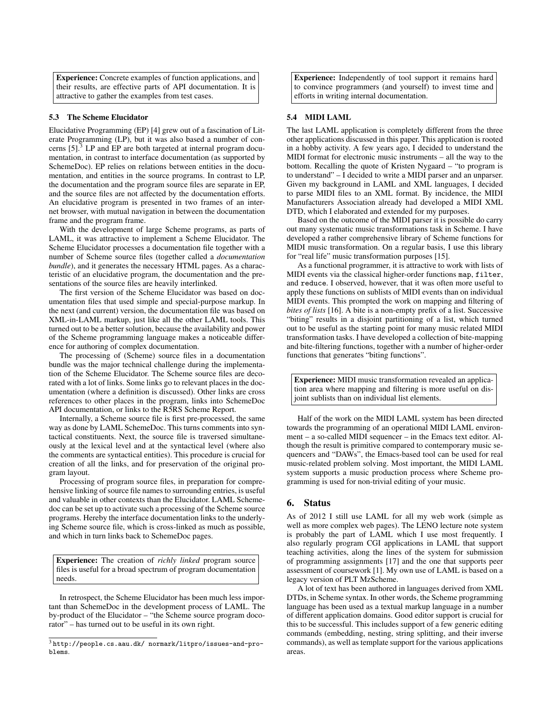Experience: Concrete examples of function applications, and their results, are effective parts of API documentation. It is attractive to gather the examples from test cases.

#### 5.3 The Scheme Elucidator

Elucidative Programming (EP) [4] grew out of a fascination of Literate Programming (LP), but it was also based a number of concerns  $[5]$ .<sup>3</sup> LP and EP are both targeted at internal program documentation, in contrast to interface documentation (as supported by SchemeDoc). EP relies on relations between entities in the documentation, and entities in the source programs. In contrast to LP, the documentation and the program source files are separate in EP, and the source files are not affected by the documentation efforts. An elucidative program is presented in two frames of an internet browser, with mutual navigation in between the documentation frame and the program frame.

With the development of large Scheme programs, as parts of LAML, it was attractive to implement a Scheme Elucidator. The Scheme Elucidator processes a documentation file together with a number of Scheme source files (together called a *documentation bundle*), and it generates the necessary HTML pages. As a characteristic of an elucidative program, the documentation and the presentations of the source files are heavily interlinked.

The first version of the Scheme Elucidator was based on documentation files that used simple and special-purpose markup. In the next (and current) version, the documentation file was based on XML-in-LAML markup, just like all the other LAML tools. This turned out to be a better solution, because the availability and power of the Scheme programming language makes a noticeable difference for authoring of complex documentation.

The processing of (Scheme) source files in a documentation bundle was the major technical challenge during the implementation of the Scheme Elucidator. The Scheme source files are decorated with a lot of links. Some links go to relevant places in the documentation (where a definition is discussed). Other links are cross references to other places in the program, links into SchemeDoc API documentation, or links to the R5RS Scheme Report.

Internally, a Scheme source file is first pre-processed, the same way as done by LAML SchemeDoc. This turns comments into syntactical constituents. Next, the source file is traversed simultaneously at the lexical level and at the syntactical level (where also the comments are syntactical entities). This procedure is crucial for creation of all the links, and for preservation of the original program layout.

Processing of program source files, in preparation for comprehensive linking of source file names to surrounding entries, is useful and valuable in other contexts than the Elucidator. LAML Schemedoc can be set up to activate such a processing of the Scheme source programs. Hereby the interface documentation links to the underlying Scheme source file, which is cross-linked as much as possible, and which in turn links back to SchemeDoc pages.

Experience: The creation of *richly linked* program source files is useful for a broad spectrum of program documentation needs.

In retrospect, the Scheme Elucidator has been much less important than SchemeDoc in the development process of LAML. The by-product of the Elucidator – "the Scheme source program docorator" – has turned out to be useful in its own right.

Experience: Independently of tool support it remains hard to convince programmers (and yourself) to invest time and efforts in writing internal documentation.

## 5.4 MIDI LAML

The last LAML application is completely different from the three other applications discussed in this paper. This application is rooted in a hobby activity. A few years ago, I decided to understand the MIDI format for electronic music instruments – all the way to the bottom. Recalling the quote of Kristen Nygaard – "to program is to understand" – I decided to write a MIDI parser and an unparser. Given my background in LAML and XML languages, I decided to parse MIDI files to an XML format. By incidence, the MIDI Manufacturers Association already had developed a MIDI XML DTD, which I elaborated and extended for my purposes.

Based on the outcome of the MIDI parser it is possible do carry out many systematic music transformations task in Scheme. I have developed a rather comprehensive library of Scheme functions for MIDI music transformation. On a regular basis, I use this library for "real life" music transformation purposes [15].

As a functional programmer, it is attractive to work with lists of MIDI events via the classical higher-order functions map, filter, and reduce. I observed, however, that it was often more useful to apply these functions on sublists of MIDI events than on individual MIDI events. This prompted the work on mapping and filtering of *bites of lists* [16]. A bite is a non-empty prefix of a list. Successive "biting" results in a disjoint partitioning of a list, which turned out to be useful as the starting point for many music related MIDI transformation tasks. I have developed a collection of bite-mapping and bite-filtering functions, together with a number of higher-order functions that generates "biting functions".

Experience: MIDI music transformation revealed an application area where mapping and filtering is more useful on disjoint sublists than on individual list elements.

Half of the work on the MIDI LAML system has been directed towards the programming of an operational MIDI LAML environment – a so-called MIDI sequencer – in the Emacs text editor. Although the result is primitive compared to contemporary music sequencers and "DAWs", the Emacs-based tool can be used for real music-related problem solving. Most important, the MIDI LAML system supports a music production process where Scheme programming is used for non-trivial editing of your music.

#### 6. Status

As of 2012 I still use LAML for all my web work (simple as well as more complex web pages). The LENO lecture note system is probably the part of LAML which I use most frequently. I also regularly program CGI applications in LAML that support teaching activities, along the lines of the system for submission of programming assignments [17] and the one that supports peer assessment of coursework [1]. My own use of LAML is based on a legacy version of PLT MzScheme.

A lot of text has been authored in languages derived from XML DTDs, in Scheme syntax. In other words, the Scheme programming language has been used as a textual markup language in a number of different application domains. Good editor support is crucial for this to be successful. This includes support of a few generic editing commands (embedding, nesting, string splitting, and their inverse commands), as well as template support for the various applications areas.

<sup>3</sup> http://people.cs.aau.dk/ normark/litpro/issues-and-problems.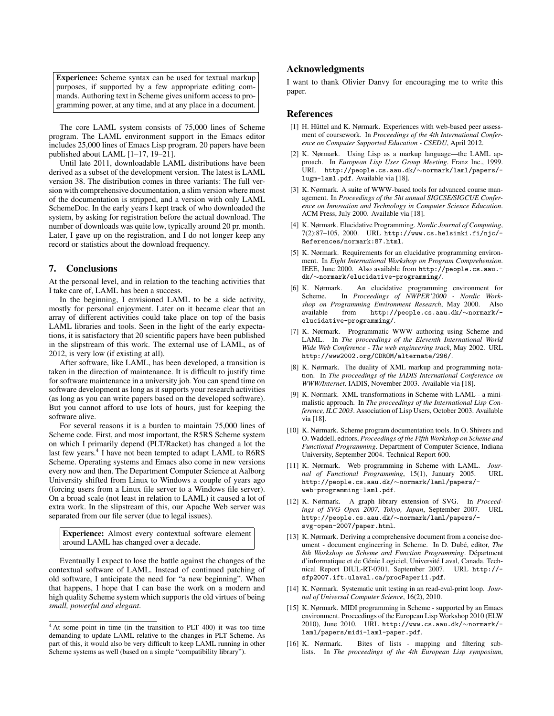Experience: Scheme syntax can be used for textual markup purposes, if supported by a few appropriate editing commands. Authoring text in Scheme gives uniform access to programming power, at any time, and at any place in a document.

The core LAML system consists of 75,000 lines of Scheme program. The LAML environment support in the Emacs editor includes 25,000 lines of Emacs Lisp program. 20 papers have been published about LAML [1–17, 19–21].

Until late 2011, downloadable LAML distributions have been derived as a subset of the development version. The latest is LAML version 38. The distribution comes in three variants: The full version with comprehensive documentation, a slim version where most of the documentation is stripped, and a version with only LAML SchemeDoc. In the early years I kept track of who downloaded the system, by asking for registration before the actual download. The number of downloads was quite low, typically around 20 pr. month. Later, I gave up on the registration, and I do not longer keep any record or statistics about the download frequency.

## 7. Conclusions

At the personal level, and in relation to the teaching activities that I take care of, LAML has been a success.

In the beginning, I envisioned LAML to be a side activity, mostly for personal enjoyment. Later on it became clear that an array of different activities could take place on top of the basis LAML libraries and tools. Seen in the light of the early expectations, it is satisfactory that 20 scientific papers have been published in the slipstream of this work. The external use of LAML, as of 2012, is very low (if existing at all).

After software, like LAML, has been developed, a transition is taken in the direction of maintenance. It is difficult to justify time for software maintenance in a university job. You can spend time on software development as long as it supports your research activities (as long as you can write papers based on the developed software). But you cannot afford to use lots of hours, just for keeping the software alive.

For several reasons it is a burden to maintain 75,000 lines of Scheme code. First, and most important, the R5RS Scheme system on which I primarily depend (PLT/Racket) has changed a lot the last few years.<sup>4</sup> I have not been tempted to adapt LAML to R6RS Scheme. Operating systems and Emacs also come in new versions every now and then. The Department Computer Science at Aalborg University shifted from Linux to Windows a couple of years ago (forcing users from a Linux file server to a Windows file server). On a broad scale (not least in relation to LAML) it caused a lot of extra work. In the slipstream of this, our Apache Web server was separated from our file server (due to legal issues).

Experience: Almost every contextual software element around LAML has changed over a decade.

Eventually I expect to lose the battle against the changes of the contextual software of LAML. Instead of continued patching of old software, I anticipate the need for "a new beginning". When that happens, I hope that I can base the work on a modern and high quality Scheme system which supports the old virtues of being *small, powerful and elegant*.

# Acknowledgments

I want to thank Olivier Danvy for encouraging me to write this paper.

#### References

- [1] H. Hüttel and K. Nørmark. Experiences with web-based peer assessment of coursework. In *Proceedings of the 4th International Conference on Computer Supported Education - CSEDU*, April 2012.
- [2] K. Nørmark. Using Lisp as a markup language—the LAML approach. In *European Lisp User Group Meeting*. Franz Inc., 1999. URL http://people.cs.aau.dk/∼normark/laml/papers/ lugm-laml.pdf. Available via [18].
- [3] K. Nørmark. A suite of WWW-based tools for advanced course management. In *Proceedings of the 5ht annual SIGCSE/SIGCUE Conference on Innovation and Technology in Computer Science Education*. ACM Press, July 2000. Available via [18].
- [4] K. Nørmark. Elucidative Programming. *Nordic Journal of Computing*, 7(2):87–105, 2000. URL http://www.cs.helsinki.fi/njc/- References/normark:87.html.
- [5] K. Nørmark. Requirements for an elucidative programming environment. In *Eight International Workshop on Program Comprehension*. IEEE, June 2000. Also available from http://people.cs.aau. dk/∼normark/elucidative-programming/.
- [6] K. Nørmark. An elucidative programming environment for Scheme. In *Proceedings of NWPER'2000 - Nordic Workshop on Programming Environment Research*, May 2000. Also available from http://people.cs.aau.dk/∼normark/ elucidative-programming/.
- [7] K. Nørmark. Programmatic WWW authoring using Scheme and LAML. In *The proceedings of the Eleventh International World Wide Web Conference - The web engineering track*, May 2002. URL http://www2002.org/CDROM/alternate/296/.
- [8] K. Nørmark. The duality of XML markup and programming notation. In *The proceedings of the IADIS International Conference on WWW/Internet*. IADIS, November 2003. Available via [18].
- [9] K. Nørmark. XML transformations in Scheme with LAML a minimalistic approach. In *The proceedings of the International Lisp Conference, ILC 2003*. Association of Lisp Users, October 2003. Available via [18].
- [10] K. Nørmark. Scheme program documentation tools. In O. Shivers and O. Waddell, editors, *Proceedings of the Fifth Workshop on Scheme and Functional Programming*. Department of Computer Science, Indiana University, September 2004. Technical Report 600.
- [11] K. Nørmark. Web programming in Scheme with LAML. *Journal of Functional Programming*, 15(1), January 2005. URL http://people.cs.aau.dk/∼normark/laml/papers/ web-programming-laml.pdf.
- [12] K. Nørmark. A graph library extension of SVG. In *Proceedings of SVG Open 2007, Tokyo, Japan*, September 2007. URL http://people.cs.aau.dk/∼normark/laml/papers/ svg-open-2007/paper.html.
- [13] K. Nørmark. Deriving a comprehensive document from a concise document - document engineering in Scheme. In D. Dubé, editor, *The* 8th Workshop on Scheme and Function Programming. Départment d'informatique et de Génie Logiciel, Université Laval, Canada. Technical Report DIUL-RT-0701, September 2007. URL http:// sfp2007.ift.ulaval.ca/procPaper11.pdf.
- [14] K. Nørmark. Systematic unit testing in an read-eval-print loop. *Journal of Universal Computer Science*, 16(2), 2010.
- [15] K. Nørmark. MIDI programming in Scheme supported by an Emacs environment. Proceedings of the European Lisp Workshop 2010 (ELW 2010), June 2010. URL http://www.cs.aau.dk/∼normark/ laml/papers/midi-laml-paper.pdf.
- [16] K. Nørmark. Bites of lists mapping and filtering sublists. In *The proceedings of the 4th European Lisp symposium*,

<sup>4</sup> At some point in time (in the transition to PLT 400) it was too time demanding to update LAML relative to the changes in PLT Scheme. As part of this, it would also be very difficult to keep LAML running in other Scheme systems as well (based on a simple "compatibility library").